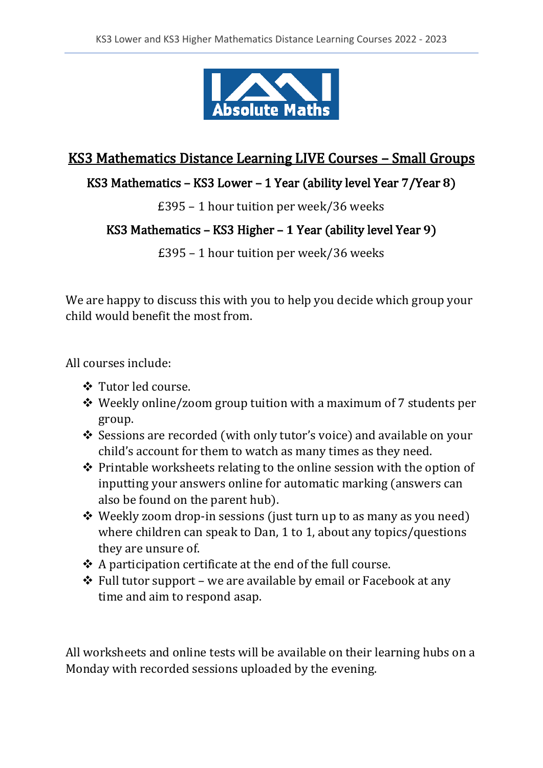

# KS3 Mathematics Distance Learning LIVE Courses – Small Groups

# KS3 Mathematics - KS3 Lower - 1 Year (ability level Year  $7$ /Year 8)

£395 – 1 hour tuition per week/36 weeks

#### KS3 Mathematics – KS3 Higher – 1 Year (ability level Year 9)

£395 – 1 hour tuition per week/36 weeks

We are happy to discuss this with you to help you decide which group your child would benefit the most from.

All courses include:

- ❖ Tutor led course.
- ❖ Weekly online/zoom group tuition with a maximum of 7 students per group.
- ❖ Sessions are recorded (with only tutor's voice) and available on your child's account for them to watch as many times as they need.
- ❖ Printable worksheets relating to the online session with the option of inputting your answers online for automatic marking (answers can also be found on the parent hub).
- ❖ Weekly zoom drop-in sessions (just turn up to as many as you need) where children can speak to Dan, 1 to 1, about any topics/questions they are unsure of.
- ❖ A participation certificate at the end of the full course.
- $\triangle$  Full tutor support we are available by email or Facebook at any time and aim to respond asap.

All worksheets and online tests will be available on their learning hubs on a Monday with recorded sessions uploaded by the evening.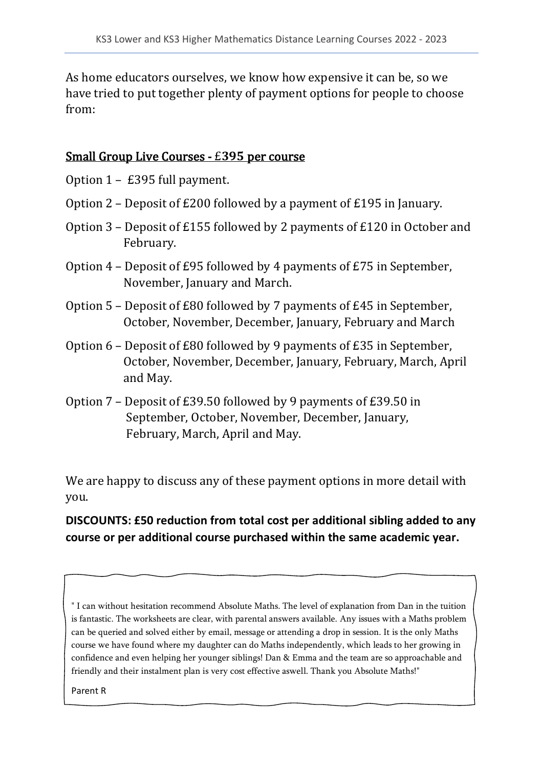As home educators ourselves, we know how expensive it can be, so we have tried to put together plenty of payment options for people to choose from:

#### Small Group Live Courses - £395 per course

Option 1 – £395 full payment.

- Option 2 Deposit of £200 followed by a payment of £195 in January.
- Option 3 Deposit of £155 followed by 2 payments of £120 in October and February.
- Option 4 Deposit of £95 followed by 4 payments of £75 in September, November, January and March.
- Option 5 Deposit of £80 followed by 7 payments of £45 in September, October, November, December, January, February and March
- Option 6 Deposit of £80 followed by 9 payments of £35 in September, October, November, December, January, February, March, April and May.
- Option 7 Deposit of £39.50 followed by 9 payments of £39.50 in September, October, November, December, January, February, March, April and May.

We are happy to discuss any of these payment options in more detail with you.

## **DISCOUNTS: £50 reduction from total cost per additional sibling added to any course or per additional course purchased within the same academic year.**

" I can without hesitation recommend Absolute Maths. The level of explanation from Dan in the tuition is fantastic. The worksheets are clear, with parental answers available. Any issues with a Maths problem can be queried and solved either by email, message or attending a drop in session. It is the only Maths course we have found where my daughter can do Maths independently, which leads to her growing in confidence and even helping her younger siblings! Dan & Emma and the team are so approachable and friendly and their instalment plan is very cost effective aswell. Thank you Absolute Maths!"

Parent R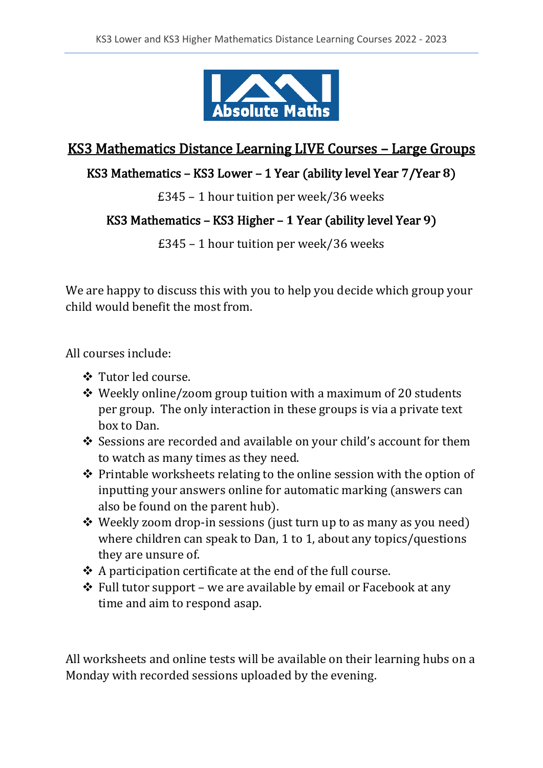

# KS3 Mathematics Distance Learning LIVE Courses – Large Groups

#### KS3 Mathematics – KS3 Lower – 1 Year (ability level Year  $7$ /Year 8)

£345 – 1 hour tuition per week/36 weeks

#### KS3 Mathematics – KS3 Higher – 1 Year (ability level Year 9)

£345 – 1 hour tuition per week/36 weeks

We are happy to discuss this with you to help you decide which group your child would benefit the most from.

All courses include:

- ❖ Tutor led course.
- ❖ Weekly online/zoom group tuition with a maximum of 20 students per group. The only interaction in these groups is via a private text box to Dan.
- ❖ Sessions are recorded and available on your child's account for them to watch as many times as they need.
- ❖ Printable worksheets relating to the online session with the option of inputting your answers online for automatic marking (answers can also be found on the parent hub).
- ❖ Weekly zoom drop-in sessions (just turn up to as many as you need) where children can speak to Dan, 1 to 1, about any topics/questions they are unsure of.
- ❖ A participation certificate at the end of the full course.
- ❖ Full tutor support we are available by email or Facebook at any time and aim to respond asap.

All worksheets and online tests will be available on their learning hubs on a Monday with recorded sessions uploaded by the evening.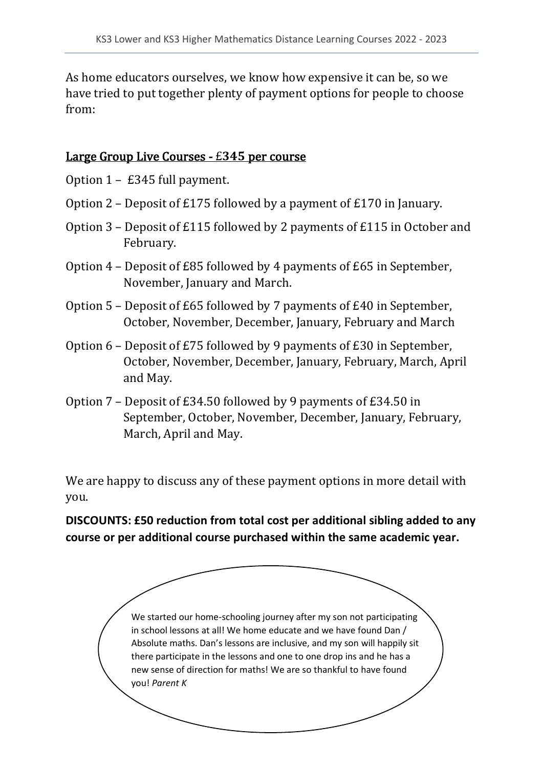As home educators ourselves, we know how expensive it can be, so we have tried to put together plenty of payment options for people to choose from:

#### Large Group Live Courses  $-$  £345 per course

Option 1 – £345 full payment.

- Option 2 Deposit of £175 followed by a payment of £170 in January.
- Option 3 Deposit of £115 followed by 2 payments of £115 in October and February.
- Option 4 Deposit of £85 followed by 4 payments of £65 in September, November, January and March.
- Option 5 Deposit of £65 followed by 7 payments of £40 in September, October, November, December, January, February and March
- Option 6 Deposit of £75 followed by 9 payments of £30 in September, October, November, December, January, February, March, April and May.
- Option 7 Deposit of £34.50 followed by 9 payments of £34.50 in September, October, November, December, January, February, March, April and May.

We are happy to discuss any of these payment options in more detail with you.

**DISCOUNTS: £50 reduction from total cost per additional sibling added to any course or per additional course purchased within the same academic year.** 

> We started our home-schooling journey after my son not participating in school lessons at all! We home educate and we have found Dan / Absolute maths. Dan's lessons are inclusive, and my son will happily sit there participate in the lessons and one to one drop ins and he has a new sense of direction for maths! We are so thankful to have found you! *Parent K*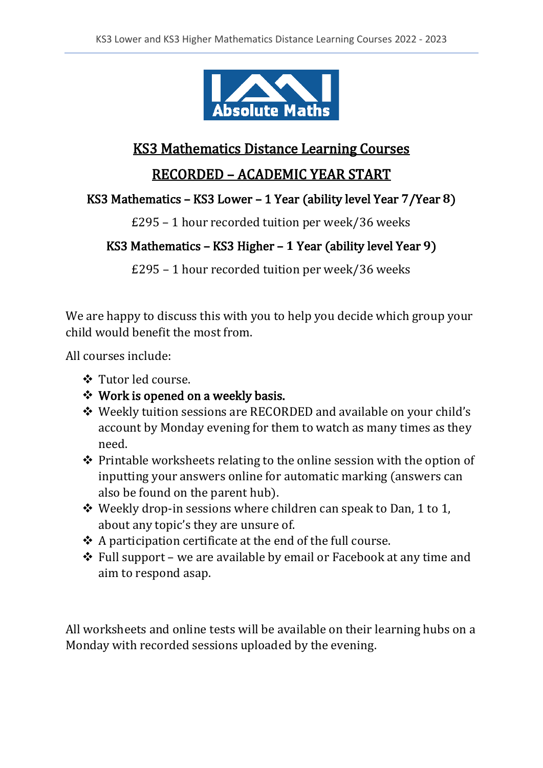

# KS3 Mathematics Distance Learning Courses

#### RECORDED – ACADEMIC YEAR START

#### KS3 Mathematics – KS3 Lower – 1 Year (ability level Year  $7$ /Year 8)

£295 – 1 hour recorded tuition per week/36 weeks

## KS3 Mathematics – KS3 Higher – 1 Year (ability level Year 9)

£295 – 1 hour recorded tuition per week/36 weeks

We are happy to discuss this with you to help you decide which group your child would benefit the most from.

All courses include:

- ❖ Tutor led course.
- ❖ Work is opened on a weekly basis.
- ❖ Weekly tuition sessions are RECORDED and available on your child's account by Monday evening for them to watch as many times as they need.
- ❖ Printable worksheets relating to the online session with the option of inputting your answers online for automatic marking (answers can also be found on the parent hub).
- ❖ Weekly drop-in sessions where children can speak to Dan, 1 to 1, about any topic's they are unsure of.
- ❖ A participation certificate at the end of the full course.
- ❖ Full support we are available by email or Facebook at any time and aim to respond asap.

All worksheets and online tests will be available on their learning hubs on a Monday with recorded sessions uploaded by the evening.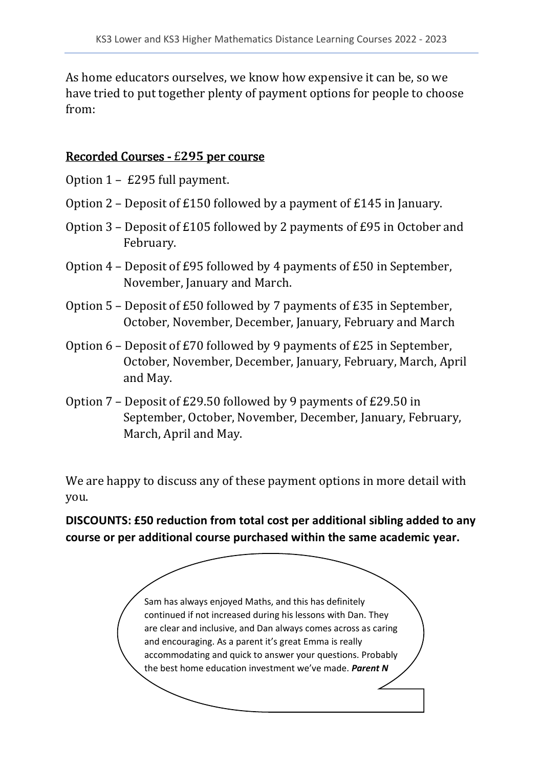As home educators ourselves, we know how expensive it can be, so we have tried to put together plenty of payment options for people to choose from:

#### Recorded Courses - £295 per course

Option 1 – £295 full payment.

- Option 2 Deposit of £150 followed by a payment of £145 in January.
- Option 3 Deposit of £105 followed by 2 payments of £95 in October and February.
- Option 4 Deposit of £95 followed by 4 payments of £50 in September, November, January and March.
- Option 5 Deposit of £50 followed by 7 payments of £35 in September, October, November, December, January, February and March
- Option 6 Deposit of £70 followed by 9 payments of £25 in September, October, November, December, January, February, March, April and May.
- Option 7 Deposit of £29.50 followed by 9 payments of £29.50 in September, October, November, December, January, February, March, April and May.

We are happy to discuss any of these payment options in more detail with you.

**DISCOUNTS: £50 reduction from total cost per additional sibling added to any course or per additional course purchased within the same academic year.** 

> Sam has always enjoyed Maths, and this has definitely continued if not increased during his lessons with Dan. They are clear and inclusive, and Dan always comes across as caring and encouraging. As a parent it's great Emma is really accommodating and quick to answer your questions. Probably the best home education investment we've made. *Parent N*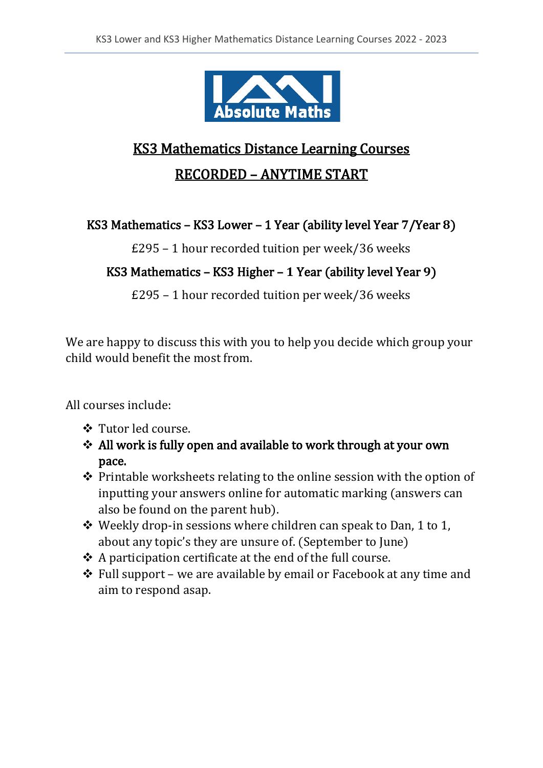

# KS3 Mathematics Distance Learning Courses RECORDED – ANYTIME START

## KS3 Mathematics – KS3 Lower – 1 Year (ability level Year  $7$ /Year 8)

£295 – 1 hour recorded tuition per week/36 weeks

# KS3 Mathematics - KS3 Higher - 1 Year (ability level Year 9)

£295 – 1 hour recorded tuition per week/36 weeks

We are happy to discuss this with you to help you decide which group your child would benefit the most from.

All courses include:

- ❖ Tutor led course.
- ❖ All work is fully open and available to work through at your own pace.
- ❖ Printable worksheets relating to the online session with the option of inputting your answers online for automatic marking (answers can also be found on the parent hub).
- ❖ Weekly drop-in sessions where children can speak to Dan, 1 to 1, about any topic's they are unsure of. (September to June)
- ❖ A participation certificate at the end of the full course.
- ❖ Full support we are available by email or Facebook at any time and aim to respond asap.